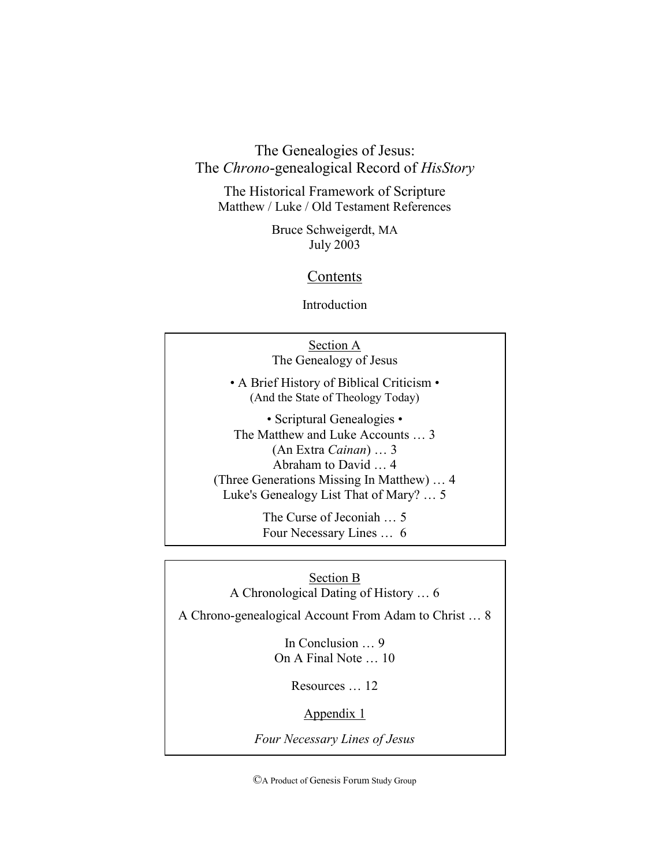The Genealogies of Jesus: The *Chrono*-genealogical Record of *HisStory*

The Historical Framework of Scripture Matthew / Luke / Old Testament References

> Bruce Schweigerdt, MA July 2003

# **Contents**

Introduction

| Section A<br>The Genealogy of Jesus                                                                                                                                                                         |
|-------------------------------------------------------------------------------------------------------------------------------------------------------------------------------------------------------------|
| • A Brief History of Biblical Criticism •<br>(And the State of Theology Today)                                                                                                                              |
| • Scriptural Genealogies •<br>The Matthew and Luke Accounts  3<br>$(An Extra Cainan) \dots 3$<br>Abraham to David  4<br>(Three Generations Missing In Matthew)  4<br>Luke's Genealogy List That of Mary?  5 |
| The Curse of Jeconiah  5<br>Four Necessary Lines  6                                                                                                                                                         |

Section B A Chronological Dating of History … 6

A Chrono-genealogical Account From Adam to Christ … 8

In Conclusion … 9 On A Final Note … 10

Resources … 12

Appendix 1

*Four Necessary Lines of Jesus*

©A Product of Genesis Forum Study Group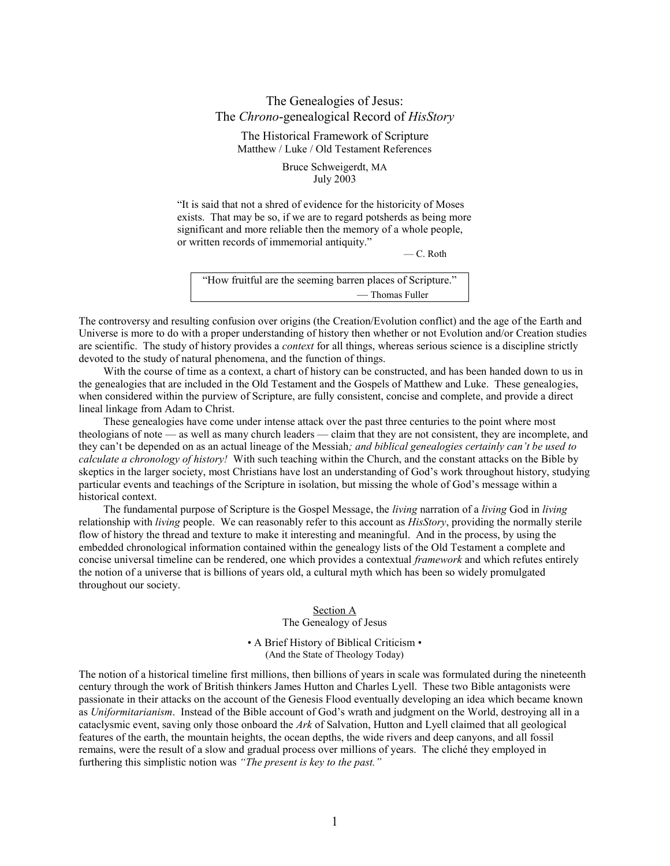# The Genealogies of Jesus: The *Chrono*-genealogical Record of *HisStory*

The Historical Framework of Scripture Matthew / Luke / Old Testament References

> Bruce Schweigerdt, MA July 2003

"It is said that not a shred of evidence for the historicity of Moses" exists. That may be so, if we are to regard potsherds as being more significant and more reliable then the memory of a whole people, or written records of immemorial antiquity."

— C. Roth

| "How fruitful are the seeming barren places of Scripture." |
|------------------------------------------------------------|
| — Thomas Fuller                                            |

The controversy and resulting confusion over origins (the Creation/Evolution conflict) and the age of the Earth and Universe is more to do with a proper understanding of history then whether or not Evolution and/or Creation studies are scientific. The study of history provides a *context* for all things, whereas serious science is a discipline strictly devoted to the study of natural phenomena, and the function of things.

With the course of time as a context, a chart of history can be constructed, and has been handed down to us in the genealogies that are included in the Old Testament and the Gospels of Matthew and Luke. These genealogies, when considered within the purview of Scripture, are fully consistent, concise and complete, and provide a direct lineal linkage from Adam to Christ.

These genealogies have come under intense attack over the past three centuries to the point where most theologians of note — as well as many church leaders — claim that they are not consistent, they are incomplete, and they can't be depended on as an actual lineage of the Messiah*; and biblical genealogies certainly can't be used to calculate a chronology of history!* With such teaching within the Church, and the constant attacks on the Bible by skeptics in the larger society, most Christians have lost an understanding of God's work throughout history, studying particular events and teachings of the Scripture in isolation, but missing the whole of God's message within a historical context.

The fundamental purpose of Scripture is the Gospel Message, the *living* narration of a *living* God in *living* relationship with *living* people. We can reasonably refer to this account as *HisStory*, providing the normally sterile flow of history the thread and texture to make it interesting and meaningful. And in the process, by using the embedded chronological information contained within the genealogy lists of the Old Testament a complete and concise universal timeline can be rendered, one which provides a contextual *framework* and which refutes entirely the notion of a universe that is billions of years old, a cultural myth which has been so widely promulgated throughout our society.

Section A

The Genealogy of Jesus

• A Brief History of Biblical Criticism • (And the State of Theology Today)

The notion of a historical timeline first millions, then billions of years in scale was formulated during the nineteenth century through the work of British thinkers James Hutton and Charles Lyell. These two Bible antagonists were passionate in their attacks on the account of the Genesis Flood eventually developing an idea which became known as *Uniformitarianism*. Instead of the Bible account of God's wrath and judgment on the World, destroying all in a cataclysmic event, saving only those onboard the *Ark* of Salvation, Hutton and Lyell claimed that all geological features of the earth, the mountain heights, the ocean depths, the wide rivers and deep canyons, and all fossil remains, were the result of a slow and gradual process over millions of years. The cliché they employed in furthering this simplistic notion was *"The present is key to the past."*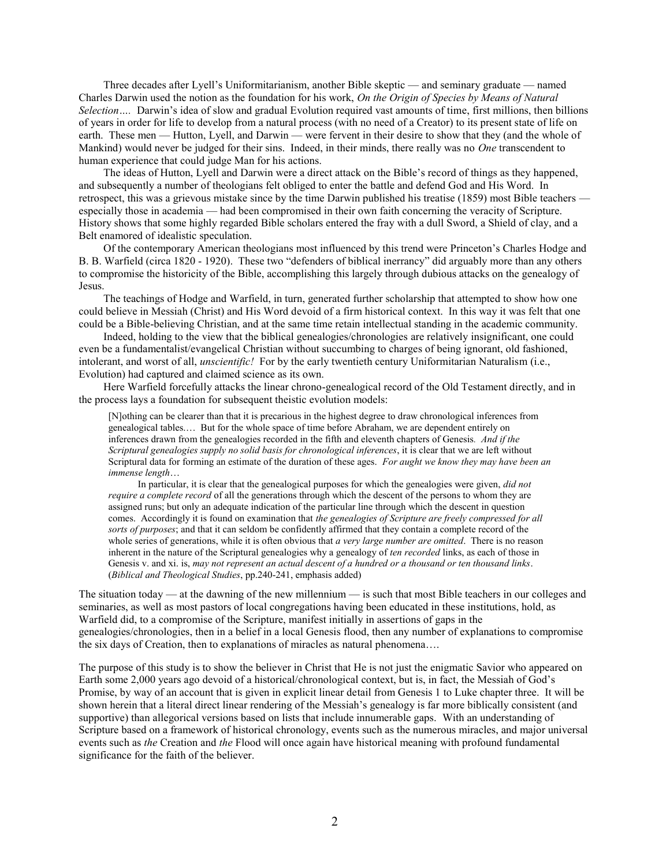Three decades after Lyell's Uniformitarianism, another Bible skeptic — and seminary graduate — named Charles Darwin used the notion as the foundation for his work, *On the Origin of Species by Means of Natural Selection….* Darwin's idea of slow and gradual Evolution required vast amounts of time, first millions, then billions of years in order for life to develop from a natural process (with no need of a Creator) to its present state of life on earth. These men — Hutton, Lyell, and Darwin — were fervent in their desire to show that they (and the whole of Mankind) would never be judged for their sins. Indeed, in their minds, there really was no *One* transcendent to human experience that could judge Man for his actions.

The ideas of Hutton, Lyell and Darwin were a direct attack on the Bible's record of things as they happened, and subsequently a number of theologians felt obliged to enter the battle and defend God and His Word. In retrospect, this was a grievous mistake since by the time Darwin published his treatise (1859) most Bible teachers especially those in academia — had been compromised in their own faith concerning the veracity of Scripture. History shows that some highly regarded Bible scholars entered the fray with a dull Sword, a Shield of clay, and a Belt enamored of idealistic speculation.

Of the contemporary American theologians most influenced by this trend were Princeton's Charles Hodge and B. B. Warfield (circa 1820 - 1920). These two "defenders of biblical inerrancy" did arguably more than any others to compromise the historicity of the Bible, accomplishing this largely through dubious attacks on the genealogy of Jesus.

The teachings of Hodge and Warfield, in turn, generated further scholarship that attempted to show how one could believe in Messiah (Christ) and His Word devoid of a firm historical context. In this way it was felt that one could be a Bible-believing Christian, and at the same time retain intellectual standing in the academic community.

Indeed, holding to the view that the biblical genealogies/chronologies are relatively insignificant, one could even be a fundamentalist/evangelical Christian without succumbing to charges of being ignorant, old fashioned, intolerant, and worst of all, *unscientific!* For by the early twentieth century Uniformitarian Naturalism (i.e., Evolution) had captured and claimed science as its own.

Here Warfield forcefully attacks the linear chrono-genealogical record of the Old Testament directly, and in the process lays a foundation for subsequent theistic evolution models:

[N]othing can be clearer than that it is precarious in the highest degree to draw chronological inferences from genealogical tables.… But for the whole space of time before Abraham, we are dependent entirely on inferences drawn from the genealogies recorded in the fifth and eleventh chapters of Genesis*. And if the Scriptural genealogies supply no solid basis for chronological inferences*, it is clear that we are left without Scriptural data for forming an estimate of the duration of these ages. *For aught we know they may have been an immense length*…

In particular, it is clear that the genealogical purposes for which the genealogies were given, *did not require a complete record* of all the generations through which the descent of the persons to whom they are assigned runs; but only an adequate indication of the particular line through which the descent in question comes. Accordingly it is found on examination that *the genealogies of Scripture are freely compressed for all sorts of purposes*; and that it can seldom be confidently affirmed that they contain a complete record of the whole series of generations, while it is often obvious that *a very large number are omitted*. There is no reason inherent in the nature of the Scriptural genealogies why a genealogy of *ten recorded* links, as each of those in Genesis v. and xi. is, *may not represent an actual descent of a hundred or a thousand or ten thousand links*. (*Biblical and Theological Studies*, pp.240-241, emphasis added)

The situation today — at the dawning of the new millennium — is such that most Bible teachers in our colleges and seminaries, as well as most pastors of local congregations having been educated in these institutions, hold, as Warfield did, to a compromise of the Scripture, manifest initially in assertions of gaps in the genealogies/chronologies, then in a belief in a local Genesis flood, then any number of explanations to compromise the six days of Creation, then to explanations of miracles as natural phenomena….

The purpose of this study is to show the believer in Christ that He is not just the enigmatic Savior who appeared on Earth some 2,000 years ago devoid of a historical/chronological context, but is, in fact, the Messiah of God's Promise, by way of an account that is given in explicit linear detail from Genesis 1 to Luke chapter three. It will be shown herein that a literal direct linear rendering of the Messiah's genealogy is far more biblically consistent (and supportive) than allegorical versions based on lists that include innumerable gaps. With an understanding of Scripture based on a framework of historical chronology, events such as the numerous miracles, and major universal events such as *the* Creation and *the* Flood will once again have historical meaning with profound fundamental significance for the faith of the believer.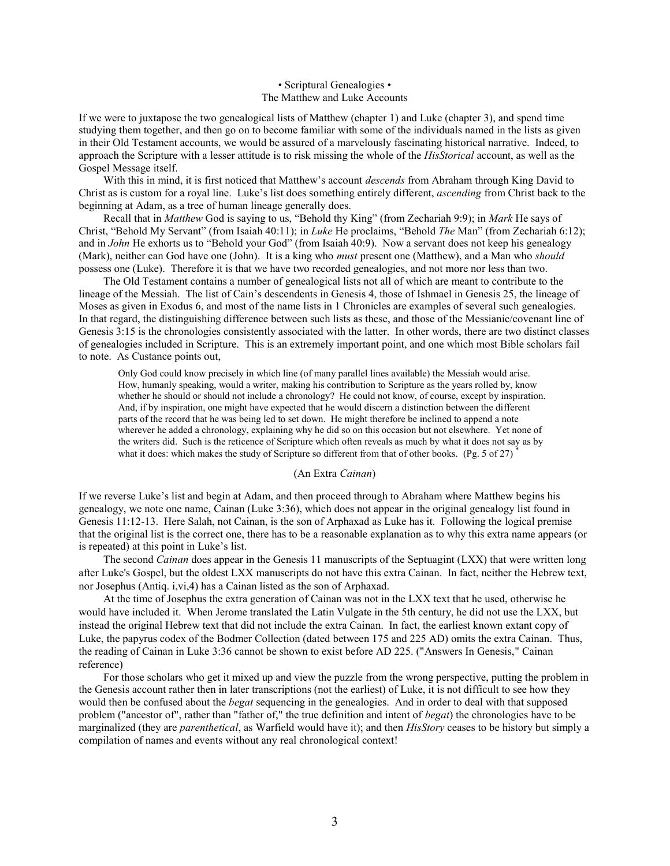# • Scriptural Genealogies • The Matthew and Luke Accounts

If we were to juxtapose the two genealogical lists of Matthew (chapter 1) and Luke (chapter 3), and spend time studying them together, and then go on to become familiar with some of the individuals named in the lists as given in their Old Testament accounts, we would be assured of a marvelously fascinating historical narrative. Indeed, to approach the Scripture with a lesser attitude is to risk missing the whole of the *HisStorical* account, as well as the Gospel Message itself.

With this in mind, it is first noticed that Matthew's account *descends* from Abraham through King David to Christ as is custom for a royal line. Luke's list does something entirely different, *ascending* from Christ back to the beginning at Adam, as a tree of human lineage generally does.

Recall that in *Matthew* God is saying to us, "Behold thy King" (from Zechariah 9:9); in *Mark* He says of Christ, "Behold My Servant" (from Isaiah 40:11); in *Luke* He proclaims, "Behold *The* Man" (from Zechariah 6:12); and in *John* He exhorts us to "Behold your God" (from Isaiah 40:9). Now a servant does not keep his genealogy (Mark), neither can God have one (John). It is a king who *must* present one (Matthew), and a Man who *should* possess one (Luke). Therefore it is that we have two recorded genealogies, and not more nor less than two.

The Old Testament contains a number of genealogical lists not all of which are meant to contribute to the lineage of the Messiah. The list of Cain's descendents in Genesis 4, those of Ishmael in Genesis 25, the lineage of Moses as given in Exodus 6, and most of the name lists in 1 Chronicles are examples of several such genealogies. In that regard, the distinguishing difference between such lists as these, and those of the Messianic/covenant line of Genesis 3:15 is the chronologies consistently associated with the latter. In other words, there are two distinct classes of genealogies included in Scripture. This is an extremely important point, and one which most Bible scholars fail to note. As Custance points out,

Only God could know precisely in which line (of many parallel lines available) the Messiah would arise. How, humanly speaking, would a writer, making his contribution to Scripture as the years rolled by, know whether he should or should not include a chronology? He could not know, of course, except by inspiration. And, if by inspiration, one might have expected that he would discern a distinction between the different parts of the record that he was being led to set down. He might therefore be inclined to append a note wherever he added a chronology, explaining why he did so on this occasion but not elsewhere. Yet none of the writers did. Such is the reticence of Scripture which often reveals as much by what it does not say as by what it does: which makes the study of Scripture so different from that of other books. (Pg. 5 of 27)

# (An Extra *Cainan*)

If we reverse Luke's list and begin at Adam, and then proceed through to Abraham where Matthew begins his genealogy, we note one name, Cainan (Luke 3:36), which does not appear in the original genealogy list found in Genesis 11:12-13. Here Salah, not Cainan, is the son of Arphaxad as Luke has it. Following the logical premise that the original list is the correct one, there has to be a reasonable explanation as to why this extra name appears (or is repeated) at this point in Luke's list.

The second *Cainan* does appear in the Genesis 11 manuscripts of the Septuagint (LXX) that were written long after Luke's Gospel, but the oldest LXX manuscripts do not have this extra Cainan. In fact, neither the Hebrew text, nor Josephus (Antiq. i,vi,4) has a Cainan listed as the son of Arphaxad.

At the time of Josephus the extra generation of Cainan was not in the LXX text that he used, otherwise he would have included it. When Jerome translated the Latin Vulgate in the 5th century, he did not use the LXX, but instead the original Hebrew text that did not include the extra Cainan. In fact, the earliest known extant copy of Luke, the papyrus codex of the Bodmer Collection (dated between 175 and 225 AD) omits the extra Cainan. Thus, the reading of Cainan in Luke 3:36 cannot be shown to exist before AD 225. ("Answers In Genesis," Cainan reference)

For those scholars who get it mixed up and view the puzzle from the wrong perspective, putting the problem in the Genesis account rather then in later transcriptions (not the earliest) of Luke, it is not difficult to see how they would then be confused about the *begat* sequencing in the genealogies. And in order to deal with that supposed problem ("ancestor of", rather than "father of," the true definition and intent of *begat*) the chronologies have to be marginalized (they are *parenthetical*, as Warfield would have it); and then *HisStory* ceases to be history but simply a compilation of names and events without any real chronological context!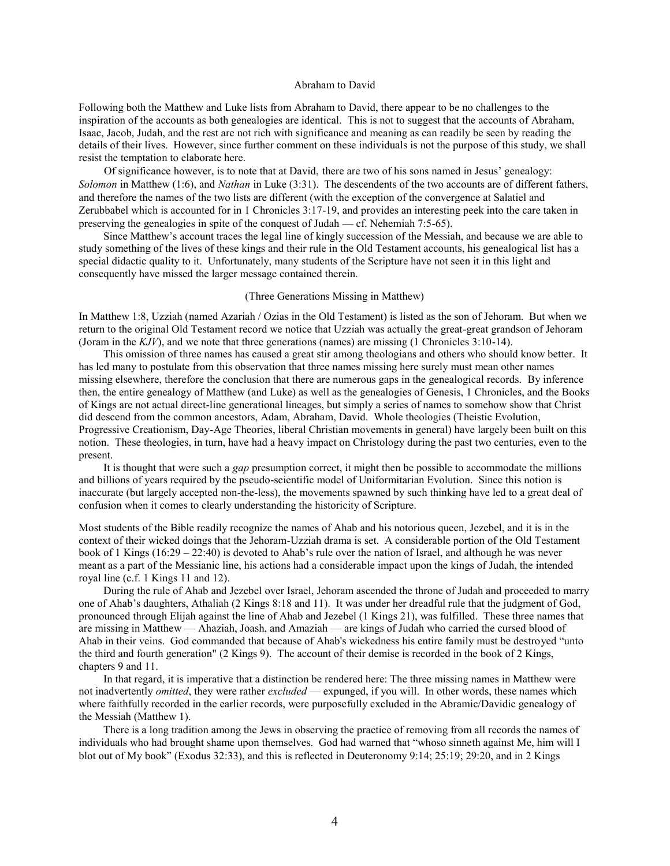# Abraham to David

Following both the Matthew and Luke lists from Abraham to David, there appear to be no challenges to the inspiration of the accounts as both genealogies are identical. This is not to suggest that the accounts of Abraham, Isaac, Jacob, Judah, and the rest are not rich with significance and meaning as can readily be seen by reading the details of their lives. However, since further comment on these individuals is not the purpose of this study, we shall resist the temptation to elaborate here.

Of significance however, is to note that at David, there are two of his sons named in Jesus' genealogy: *Solomon* in Matthew (1:6), and *Nathan* in Luke (3:31). The descendents of the two accounts are of different fathers, and therefore the names of the two lists are different (with the exception of the convergence at Salatiel and Zerubbabel which is accounted for in 1 Chronicles 3:17-19, and provides an interesting peek into the care taken in preserving the genealogies in spite of the conquest of Judah — cf. Nehemiah 7:5-65).

Since Matthew's account traces the legal line of kingly succession of the Messiah, and because we are able to study something of the lives of these kings and their rule in the Old Testament accounts, his genealogical list has a special didactic quality to it. Unfortunately, many students of the Scripture have not seen it in this light and consequently have missed the larger message contained therein.

#### (Three Generations Missing in Matthew)

In Matthew 1:8, Uzziah (named Azariah / Ozias in the Old Testament) is listed as the son of Jehoram. But when we return to the original Old Testament record we notice that Uzziah was actually the great-great grandson of Jehoram (Joram in the *KJV*), and we note that three generations (names) are missing (1 Chronicles 3:10-14).

This omission of three names has caused a great stir among theologians and others who should know better. It has led many to postulate from this observation that three names missing here surely must mean other names missing elsewhere, therefore the conclusion that there are numerous gaps in the genealogical records. By inference then, the entire genealogy of Matthew (and Luke) as well as the genealogies of Genesis, 1 Chronicles, and the Books of Kings are not actual direct-line generational lineages, but simply a series of names to somehow show that Christ did descend from the common ancestors, Adam, Abraham, David. Whole theologies (Theistic Evolution, Progressive Creationism, Day-Age Theories, liberal Christian movements in general) have largely been built on this notion. These theologies, in turn, have had a heavy impact on Christology during the past two centuries, even to the present.

It is thought that were such a *gap* presumption correct, it might then be possible to accommodate the millions and billions of years required by the pseudo-scientific model of Uniformitarian Evolution. Since this notion is inaccurate (but largely accepted non-the-less), the movements spawned by such thinking have led to a great deal of confusion when it comes to clearly understanding the historicity of Scripture.

Most students of the Bible readily recognize the names of Ahab and his notorious queen, Jezebel, and it is in the context of their wicked doings that the Jehoram-Uzziah drama is set. A considerable portion of the Old Testament book of 1 Kings (16:29 – 22:40) is devoted to Ahab's rule over the nation of Israel, and although he was never meant as a part of the Messianic line, his actions had a considerable impact upon the kings of Judah, the intended royal line (c.f. 1 Kings 11 and 12).

During the rule of Ahab and Jezebel over Israel, Jehoram ascended the throne of Judah and proceeded to marry one of Ahab's daughters, Athaliah (2 Kings 8:18 and 11). It was under her dreadful rule that the judgment of God, pronounced through Elijah against the line of Ahab and Jezebel (1 Kings 21), was fulfilled. These three names that are missing in Matthew — Ahaziah, Joash, and Amaziah — are kings of Judah who carried the cursed blood of Ahab in their veins. God commanded that because of Ahab's wickedness his entire family must be destroyed "unto the third and fourth generation" (2 Kings 9). The account of their demise is recorded in the book of 2 Kings, chapters 9 and 11.

In that regard, it is imperative that a distinction be rendered here: The three missing names in Matthew were not inadvertently *omitted*, they were rather *excluded* — expunged, if you will. In other words, these names which where faithfully recorded in the earlier records, were purposefully excluded in the Abramic/Davidic genealogy of the Messiah (Matthew 1).

There is a long tradition among the Jews in observing the practice of removing from all records the names of individuals who had brought shame upon themselves. God had warned that "whoso sinneth against Me, him will I blot out of My book" (Exodus 32:33), and this is reflected in Deuteronomy 9:14; 25:19; 29:20, and in 2 Kings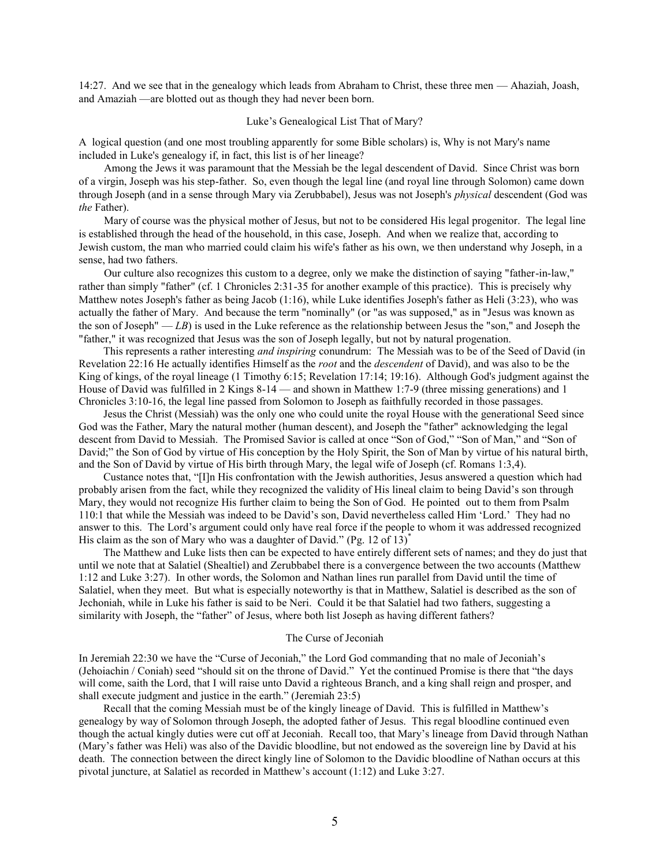14:27. And we see that in the genealogy which leads from Abraham to Christ, these three men — Ahaziah, Joash, and Amaziah —are blotted out as though they had never been born.

# Luke's Genealogical List That of Mary?

A logical question (and one most troubling apparently for some Bible scholars) is, Why is not Mary's name included in Luke's genealogy if, in fact, this list is of her lineage?

Among the Jews it was paramount that the Messiah be the legal descendent of David. Since Christ was born of a virgin, Joseph was his step-father. So, even though the legal line (and royal line through Solomon) came down through Joseph (and in a sense through Mary via Zerubbabel), Jesus was not Joseph's *physical* descendent (God was *the* Father).

Mary of course was the physical mother of Jesus, but not to be considered His legal progenitor. The legal line is established through the head of the household, in this case, Joseph. And when we realize that, according to Jewish custom, the man who married could claim his wife's father as his own, we then understand why Joseph, in a sense, had two fathers.

Our culture also recognizes this custom to a degree, only we make the distinction of saying "father-in-law," rather than simply "father" (cf. 1 Chronicles 2:31-35 for another example of this practice). This is precisely why Matthew notes Joseph's father as being Jacob (1:16), while Luke identifies Joseph's father as Heli (3:23), who was actually the father of Mary. And because the term "nominally" (or "as was supposed," as in "Jesus was known as the son of Joseph" — *LB*) is used in the Luke reference as the relationship between Jesus the "son," and Joseph the "father," it was recognized that Jesus was the son of Joseph legally, but not by natural progenation.

This represents a rather interesting *and inspiring* conundrum: The Messiah was to be of the Seed of David (in Revelation 22:16 He actually identifies Himself as the *root* and the *descendent* of David), and was also to be the King of kings, of the royal lineage (1 Timothy 6:15; Revelation 17:14; 19:16). Although God's judgment against the House of David was fulfilled in 2 Kings 8-14 — and shown in Matthew 1:7-9 (three missing generations) and 1 Chronicles 3:10-16, the legal line passed from Solomon to Joseph as faithfully recorded in those passages.

Jesus the Christ (Messiah) was the only one who could unite the royal House with the generational Seed since God was the Father, Mary the natural mother (human descent), and Joseph the "father" acknowledging the legal descent from David to Messiah. The Promised Savior is called at once "Son of God," "Son of Man," and "Son of David;" the Son of God by virtue of His conception by the Holy Spirit, the Son of Man by virtue of his natural birth, and the Son of David by virtue of His birth through Mary, the legal wife of Joseph (cf. Romans 1:3,4).

Custance notes that, "[I]n His confrontation with the Jewish authorities, Jesus answered a question which had probably arisen from the fact, while they recognized the validity of His lineal claim to being David's son through Mary, they would not recognize His further claim to being the Son of God. He pointed out to them from Psalm 110:1 that while the Messiah was indeed to be David's son, David nevertheless called Him ‗Lord.' They had no answer to this. The Lord's argument could only have real force if the people to whom it was addressed recognized His claim as the son of Mary who was a daughter of David." (Pg. 12 of 13)<sup>\*</sup>

The Matthew and Luke lists then can be expected to have entirely different sets of names; and they do just that until we note that at Salatiel (Shealtiel) and Zerubbabel there is a convergence between the two accounts (Matthew 1:12 and Luke 3:27). In other words, the Solomon and Nathan lines run parallel from David until the time of Salatiel, when they meet. But what is especially noteworthy is that in Matthew, Salatiel is described as the son of Jechoniah, while in Luke his father is said to be Neri. Could it be that Salatiel had two fathers, suggesting a similarity with Joseph, the "father" of Jesus, where both list Joseph as having different fathers?

# The Curse of Jeconiah

In Jeremiah 22:30 we have the "Curse of Jeconiah," the Lord God commanding that no male of Jeconiah's (Jehoiachin / Coniah) seed "should sit on the throne of David." Yet the continued Promise is there that "the days will come, saith the Lord, that I will raise unto David a righteous Branch, and a king shall reign and prosper, and shall execute judgment and justice in the earth." (Jeremiah 23:5)

Recall that the coming Messiah must be of the kingly lineage of David. This is fulfilled in Matthew's genealogy by way of Solomon through Joseph, the adopted father of Jesus. This regal bloodline continued even though the actual kingly duties were cut off at Jeconiah. Recall too, that Mary's lineage from David through Nathan (Mary's father was Heli) was also of the Davidic bloodline, but not endowed as the sovereign line by David at his death. The connection between the direct kingly line of Solomon to the Davidic bloodline of Nathan occurs at this pivotal juncture, at Salatiel as recorded in Matthew's account (1:12) and Luke 3:27.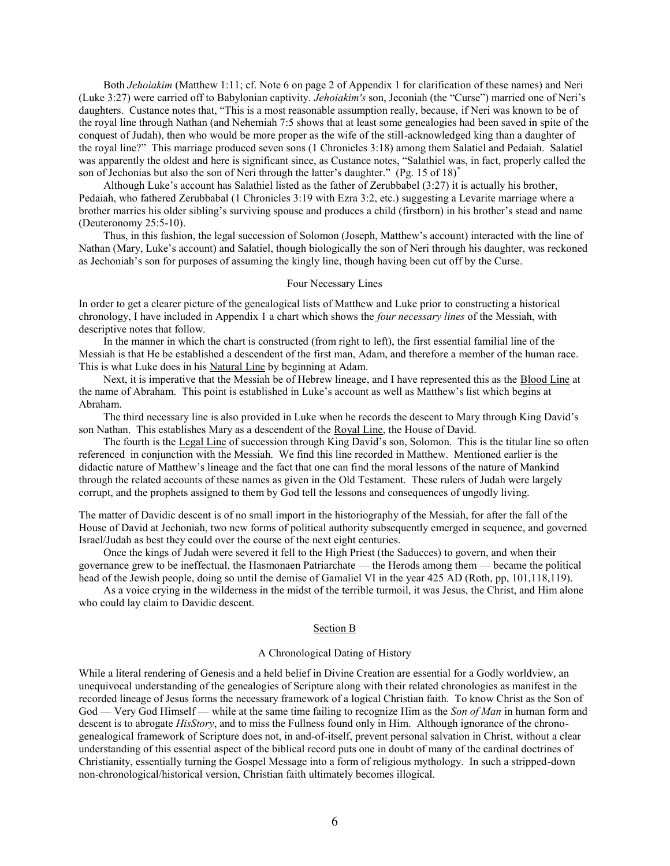Both *Jehoiakim* (Matthew 1:11; cf. Note 6 on page 2 of Appendix 1 for clarification of these names) and Neri (Luke 3:27) were carried off to Babylonian captivity. *Jehoiakim's* son, Jeconiah (the "Curse") married one of Neri's daughters. Custance notes that, "This is a most reasonable assumption really, because, if Neri was known to be of the royal line through Nathan (and Nehemiah 7:5 shows that at least some genealogies had been saved in spite of the conquest of Judah), then who would be more proper as the wife of the still-acknowledged king than a daughter of the royal line?‖ This marriage produced seven sons (1 Chronicles 3:18) among them Salatiel and Pedaiah. Salatiel was apparently the oldest and here is significant since, as Custance notes, "Salathiel was, in fact, properly called the son of Jechonias but also the son of Neri through the latter's daughter." (Pg. 15 of 18) $*$ 

Although Luke's account has Salathiel listed as the father of Zerubbabel (3:27) it is actually his brother, Pedaiah, who fathered Zerubbabal (1 Chronicles 3:19 with Ezra 3:2, etc.) suggesting a Levarite marriage where a brother marries his older sibling's surviving spouse and produces a child (firstborn) in his brother's stead and name (Deuteronomy 25:5-10).

Thus, in this fashion, the legal succession of Solomon (Joseph, Matthew's account) interacted with the line of Nathan (Mary, Luke's account) and Salatiel, though biologically the son of Neri through his daughter, was reckoned as Jechoniah's son for purposes of assuming the kingly line, though having been cut off by the Curse.

# Four Necessary Lines

In order to get a clearer picture of the genealogical lists of Matthew and Luke prior to constructing a historical chronology, I have included in Appendix 1 a chart which shows the *four necessary lines* of the Messiah, with descriptive notes that follow.

In the manner in which the chart is constructed (from right to left), the first essential familial line of the Messiah is that He be established a descendent of the first man, Adam, and therefore a member of the human race. This is what Luke does in his Natural Line by beginning at Adam.

Next, it is imperative that the Messiah be of Hebrew lineage, and I have represented this as the Blood Line at the name of Abraham. This point is established in Luke's account as well as Matthew's list which begins at Abraham.

The third necessary line is also provided in Luke when he records the descent to Mary through King David's son Nathan. This establishes Mary as a descendent of the Royal Line, the House of David.

The fourth is the Legal Line of succession through King David's son, Solomon. This is the titular line so often referenced in conjunction with the Messiah. We find this line recorded in Matthew. Mentioned earlier is the didactic nature of Matthew's lineage and the fact that one can find the moral lessons of the nature of Mankind through the related accounts of these names as given in the Old Testament. These rulers of Judah were largely corrupt, and the prophets assigned to them by God tell the lessons and consequences of ungodly living.

The matter of Davidic descent is of no small import in the historiography of the Messiah, for after the fall of the House of David at Jechoniah, two new forms of political authority subsequently emerged in sequence, and governed Israel/Judah as best they could over the course of the next eight centuries.

Once the kings of Judah were severed it fell to the High Priest (the Saducces) to govern, and when their governance grew to be ineffectual, the Hasmonaen Patriarchate — the Herods among them — became the political head of the Jewish people, doing so until the demise of Gamaliel VI in the year 425 AD (Roth, pp, 101,118,119).

As a voice crying in the wilderness in the midst of the terrible turmoil, it was Jesus, the Christ, and Him alone who could lay claim to Davidic descent.

#### Section B

# A Chronological Dating of History

While a literal rendering of Genesis and a held belief in Divine Creation are essential for a Godly worldview, an unequivocal understanding of the genealogies of Scripture along with their related chronologies as manifest in the recorded lineage of Jesus forms the necessary framework of a logical Christian faith. To know Christ as the Son of God — Very God Himself — while at the same time failing to recognize Him as the *Son of Man* in human form and descent is to abrogate *HisStory*, and to miss the Fullness found only in Him. Although ignorance of the chronogenealogical framework of Scripture does not, in and-of-itself, prevent personal salvation in Christ, without a clear understanding of this essential aspect of the biblical record puts one in doubt of many of the cardinal doctrines of Christianity, essentially turning the Gospel Message into a form of religious mythology. In such a stripped-down non-chronological/historical version, Christian faith ultimately becomes illogical.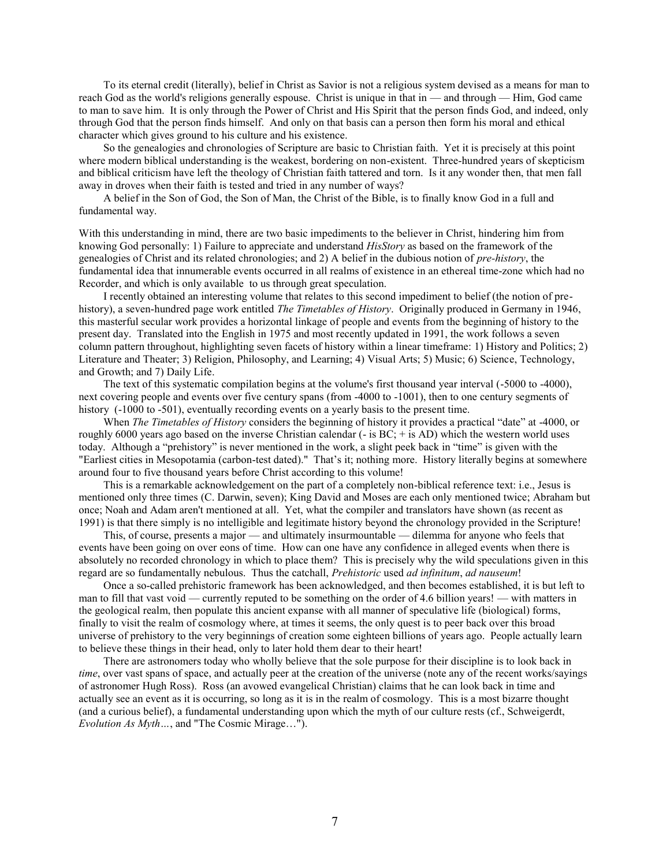To its eternal credit (literally), belief in Christ as Savior is not a religious system devised as a means for man to reach God as the world's religions generally espouse. Christ is unique in that in — and through — Him, God came to man to save him. It is only through the Power of Christ and His Spirit that the person finds God, and indeed, only through God that the person finds himself. And only on that basis can a person then form his moral and ethical character which gives ground to his culture and his existence.

So the genealogies and chronologies of Scripture are basic to Christian faith. Yet it is precisely at this point where modern biblical understanding is the weakest, bordering on non-existent. Three-hundred years of skepticism and biblical criticism have left the theology of Christian faith tattered and torn. Is it any wonder then, that men fall away in droves when their faith is tested and tried in any number of ways?

A belief in the Son of God, the Son of Man, the Christ of the Bible, is to finally know God in a full and fundamental way.

With this understanding in mind, there are two basic impediments to the believer in Christ, hindering him from knowing God personally: 1) Failure to appreciate and understand *HisStory* as based on the framework of the genealogies of Christ and its related chronologies; and 2) A belief in the dubious notion of *pre-history*, the fundamental idea that innumerable events occurred in all realms of existence in an ethereal time-zone which had no Recorder, and which is only available to us through great speculation.

I recently obtained an interesting volume that relates to this second impediment to belief (the notion of prehistory), a seven-hundred page work entitled *The Timetables of History*. Originally produced in Germany in 1946, this masterful secular work provides a horizontal linkage of people and events from the beginning of history to the present day. Translated into the English in 1975 and most recently updated in 1991, the work follows a seven column pattern throughout, highlighting seven facets of history within a linear timeframe: 1) History and Politics; 2) Literature and Theater; 3) Religion, Philosophy, and Learning; 4) Visual Arts; 5) Music; 6) Science, Technology, and Growth; and 7) Daily Life.

The text of this systematic compilation begins at the volume's first thousand year interval (-5000 to -4000), next covering people and events over five century spans (from -4000 to -1001), then to one century segments of history (-1000 to -501), eventually recording events on a yearly basis to the present time.

When *The Timetables of History* considers the beginning of history it provides a practical "date" at -4000, or roughly 6000 years ago based on the inverse Christian calendar  $(-$  is BC;  $+$  is AD) which the western world uses today. Although a "prehistory" is never mentioned in the work, a slight peek back in "time" is given with the "Earliest cities in Mesopotamia (carbon-test dated)." That's it; nothing more. History literally begins at somewhere around four to five thousand years before Christ according to this volume!

This is a remarkable acknowledgement on the part of a completely non-biblical reference text: i.e., Jesus is mentioned only three times (C. Darwin, seven); King David and Moses are each only mentioned twice; Abraham but once; Noah and Adam aren't mentioned at all. Yet, what the compiler and translators have shown (as recent as 1991) is that there simply is no intelligible and legitimate history beyond the chronology provided in the Scripture!

This, of course, presents a major — and ultimately insurmountable — dilemma for anyone who feels that events have been going on over eons of time. How can one have any confidence in alleged events when there is absolutely no recorded chronology in which to place them? This is precisely why the wild speculations given in this regard are so fundamentally nebulous. Thus the catchall, *Prehistoric* used *ad infinitum*, *ad nauseum*!

Once a so-called prehistoric framework has been acknowledged, and then becomes established, it is but left to man to fill that vast void — currently reputed to be something on the order of 4.6 billion years! — with matters in the geological realm, then populate this ancient expanse with all manner of speculative life (biological) forms, finally to visit the realm of cosmology where, at times it seems, the only quest is to peer back over this broad universe of prehistory to the very beginnings of creation some eighteen billions of years ago. People actually learn to believe these things in their head, only to later hold them dear to their heart!

There are astronomers today who wholly believe that the sole purpose for their discipline is to look back in *time*, over vast spans of space, and actually peer at the creation of the universe (note any of the recent works/sayings of astronomer Hugh Ross). Ross (an avowed evangelical Christian) claims that he can look back in time and actually see an event as it is occurring, so long as it is in the realm of cosmology. This is a most bizarre thought (and a curious belief), a fundamental understanding upon which the myth of our culture rests (cf., Schweigerdt, *Evolution As Myth…*, and "The Cosmic Mirage…").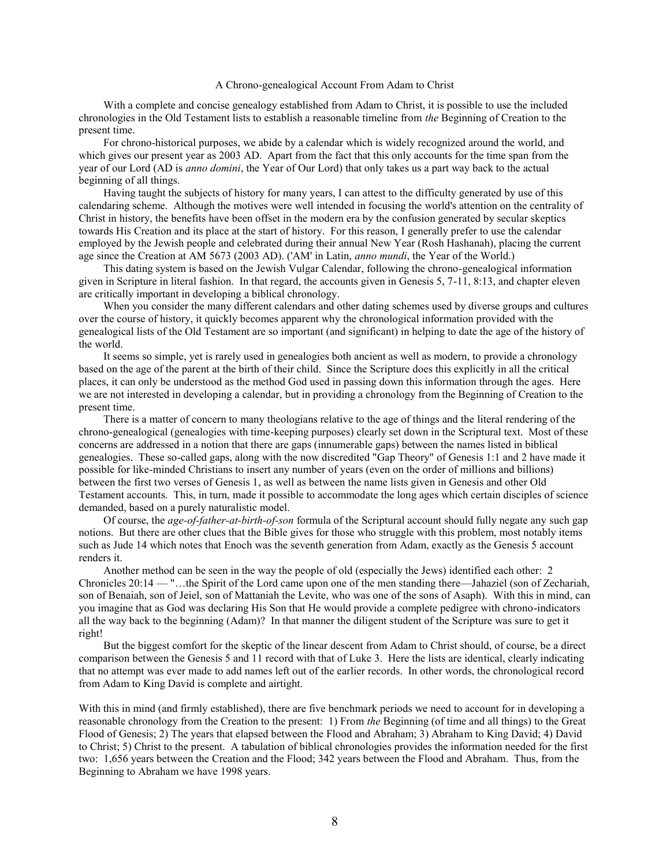#### A Chrono-genealogical Account From Adam to Christ

With a complete and concise genealogy established from Adam to Christ, it is possible to use the included chronologies in the Old Testament lists to establish a reasonable timeline from *the* Beginning of Creation to the present time.

For chrono-historical purposes, we abide by a calendar which is widely recognized around the world, and which gives our present year as 2003 AD. Apart from the fact that this only accounts for the time span from the year of our Lord (AD is *anno domini*, the Year of Our Lord) that only takes us a part way back to the actual beginning of all things.

Having taught the subjects of history for many years, I can attest to the difficulty generated by use of this calendaring scheme. Although the motives were well intended in focusing the world's attention on the centrality of Christ in history, the benefits have been offset in the modern era by the confusion generated by secular skeptics towards His Creation and its place at the start of history. For this reason, I generally prefer to use the calendar employed by the Jewish people and celebrated during their annual New Year (Rosh Hashanah), placing the current age since the Creation at AM 5673 (2003 AD). ('AM' in Latin, *anno mundi*, the Year of the World.)

This dating system is based on the Jewish Vulgar Calendar, following the chrono-genealogical information given in Scripture in literal fashion. In that regard, the accounts given in Genesis 5, 7-11, 8:13, and chapter eleven are critically important in developing a biblical chronology.

When you consider the many different calendars and other dating schemes used by diverse groups and cultures over the course of history, it quickly becomes apparent why the chronological information provided with the genealogical lists of the Old Testament are so important (and significant) in helping to date the age of the history of the world.

It seems so simple, yet is rarely used in genealogies both ancient as well as modern, to provide a chronology based on the age of the parent at the birth of their child. Since the Scripture does this explicitly in all the critical places, it can only be understood as the method God used in passing down this information through the ages. Here we are not interested in developing a calendar, but in providing a chronology from the Beginning of Creation to the present time.

There is a matter of concern to many theologians relative to the age of things and the literal rendering of the chrono-genealogical (genealogies with time-keeping purposes) clearly set down in the Scriptural text. Most of these concerns are addressed in a notion that there are gaps (innumerable gaps) between the names listed in biblical genealogies. These so-called gaps, along with the now discredited "Gap Theory" of Genesis 1:1 and 2 have made it possible for like-minded Christians to insert any number of years (even on the order of millions and billions) between the first two verses of Genesis 1, as well as between the name lists given in Genesis and other Old Testament accounts. This, in turn, made it possible to accommodate the long ages which certain disciples of science demanded, based on a purely naturalistic model.

Of course, the *age-of-father-at-birth-of-son* formula of the Scriptural account should fully negate any such gap notions. But there are other clues that the Bible gives for those who struggle with this problem, most notably items such as Jude 14 which notes that Enoch was the seventh generation from Adam, exactly as the Genesis 5 account renders it.

Another method can be seen in the way the people of old (especially the Jews) identified each other: 2 Chronicles 20:14 — "…the Spirit of the Lord came upon one of the men standing there—Jahaziel (son of Zechariah, son of Benaiah, son of Jeiel, son of Mattaniah the Levite, who was one of the sons of Asaph). With this in mind, can you imagine that as God was declaring His Son that He would provide a complete pedigree with chrono-indicators all the way back to the beginning (Adam)? In that manner the diligent student of the Scripture was sure to get it right!

But the biggest comfort for the skeptic of the linear descent from Adam to Christ should, of course, be a direct comparison between the Genesis 5 and 11 record with that of Luke 3. Here the lists are identical, clearly indicating that no attempt was ever made to add names left out of the earlier records. In other words, the chronological record from Adam to King David is complete and airtight.

With this in mind (and firmly established), there are five benchmark periods we need to account for in developing a reasonable chronology from the Creation to the present: 1) From *the* Beginning (of time and all things) to the Great Flood of Genesis; 2) The years that elapsed between the Flood and Abraham; 3) Abraham to King David; 4) David to Christ; 5) Christ to the present. A tabulation of biblical chronologies provides the information needed for the first two: 1,656 years between the Creation and the Flood; 342 years between the Flood and Abraham. Thus, from the Beginning to Abraham we have 1998 years.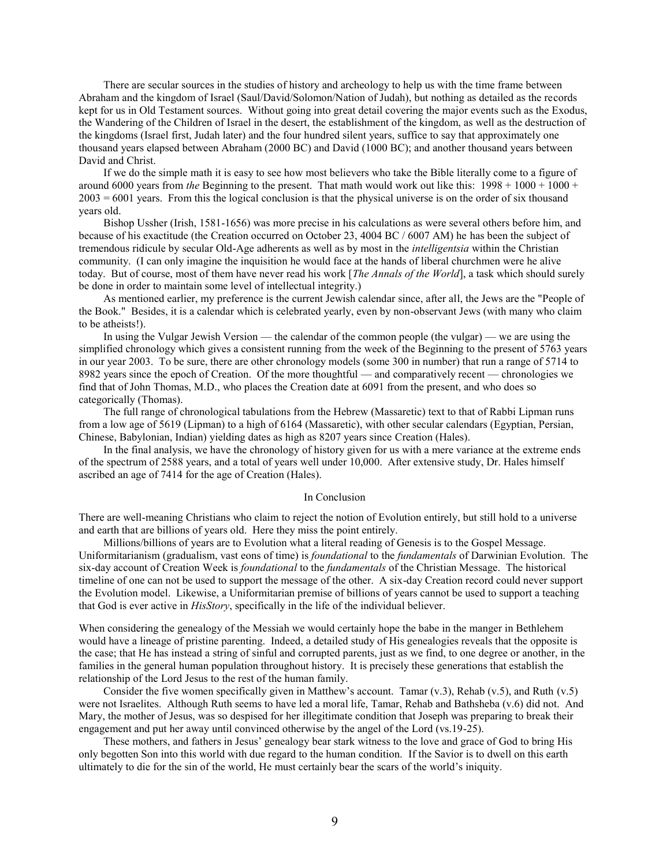There are secular sources in the studies of history and archeology to help us with the time frame between Abraham and the kingdom of Israel (Saul/David/Solomon/Nation of Judah), but nothing as detailed as the records kept for us in Old Testament sources. Without going into great detail covering the major events such as the Exodus, the Wandering of the Children of Israel in the desert, the establishment of the kingdom, as well as the destruction of the kingdoms (Israel first, Judah later) and the four hundred silent years, suffice to say that approximately one thousand years elapsed between Abraham (2000 BC) and David (1000 BC); and another thousand years between David and Christ.

If we do the simple math it is easy to see how most believers who take the Bible literally come to a figure of around 6000 years from *the* Beginning to the present. That math would work out like this:  $1998 + 1000 + 1000 +$  $2003 = 6001$  years. From this the logical conclusion is that the physical universe is on the order of six thousand years old.

Bishop Ussher (Irish, 1581-1656) was more precise in his calculations as were several others before him, and because of his exactitude (the Creation occurred on October 23, 4004 BC / 6007 AM) he has been the subject of tremendous ridicule by secular Old-Age adherents as well as by most in the *intelligentsia* within the Christian community. (I can only imagine the inquisition he would face at the hands of liberal churchmen were he alive today. But of course, most of them have never read his work [*The Annals of the World*], a task which should surely be done in order to maintain some level of intellectual integrity.)

As mentioned earlier, my preference is the current Jewish calendar since, after all, the Jews are the "People of the Book." Besides, it is a calendar which is celebrated yearly, even by non-observant Jews (with many who claim to be atheists!).

In using the Vulgar Jewish Version — the calendar of the common people (the vulgar) — we are using the simplified chronology which gives a consistent running from the week of the Beginning to the present of 5763 years in our year 2003. To be sure, there are other chronology models (some 300 in number) that run a range of 5714 to 8982 years since the epoch of Creation. Of the more thoughtful — and comparatively recent — chronologies we find that of John Thomas, M.D., who places the Creation date at 6091 from the present, and who does so categorically (Thomas).

The full range of chronological tabulations from the Hebrew (Massaretic) text to that of Rabbi Lipman runs from a low age of 5619 (Lipman) to a high of 6164 (Massaretic), with other secular calendars (Egyptian, Persian, Chinese, Babylonian, Indian) yielding dates as high as 8207 years since Creation (Hales).

In the final analysis, we have the chronology of history given for us with a mere variance at the extreme ends of the spectrum of 2588 years, and a total of years well under 10,000. After extensive study, Dr. Hales himself ascribed an age of 7414 for the age of Creation (Hales).

#### In Conclusion

There are well-meaning Christians who claim to reject the notion of Evolution entirely, but still hold to a universe and earth that are billions of years old. Here they miss the point entirely.

Millions/billions of years are to Evolution what a literal reading of Genesis is to the Gospel Message. Uniformitarianism (gradualism, vast eons of time) is *foundational* to the *fundamentals* of Darwinian Evolution. The six-day account of Creation Week is *foundational* to the *fundamentals* of the Christian Message. The historical timeline of one can not be used to support the message of the other. A six-day Creation record could never support the Evolution model. Likewise, a Uniformitarian premise of billions of years cannot be used to support a teaching that God is ever active in *HisStory*, specifically in the life of the individual believer.

When considering the genealogy of the Messiah we would certainly hope the babe in the manger in Bethlehem would have a lineage of pristine parenting. Indeed, a detailed study of His genealogies reveals that the opposite is the case; that He has instead a string of sinful and corrupted parents, just as we find, to one degree or another, in the families in the general human population throughout history. It is precisely these generations that establish the relationship of the Lord Jesus to the rest of the human family.

Consider the five women specifically given in Matthew's account. Tamar  $(v.3)$ , Rehab  $(v.5)$ , and Ruth  $(v.5)$ were not Israelites. Although Ruth seems to have led a moral life, Tamar, Rehab and Bathsheba (v.6) did not. And Mary, the mother of Jesus, was so despised for her illegitimate condition that Joseph was preparing to break their engagement and put her away until convinced otherwise by the angel of the Lord (vs.19-25).

These mothers, and fathers in Jesus' genealogy bear stark witness to the love and grace of God to bring His only begotten Son into this world with due regard to the human condition. If the Savior is to dwell on this earth ultimately to die for the sin of the world, He must certainly bear the scars of the world's iniquity.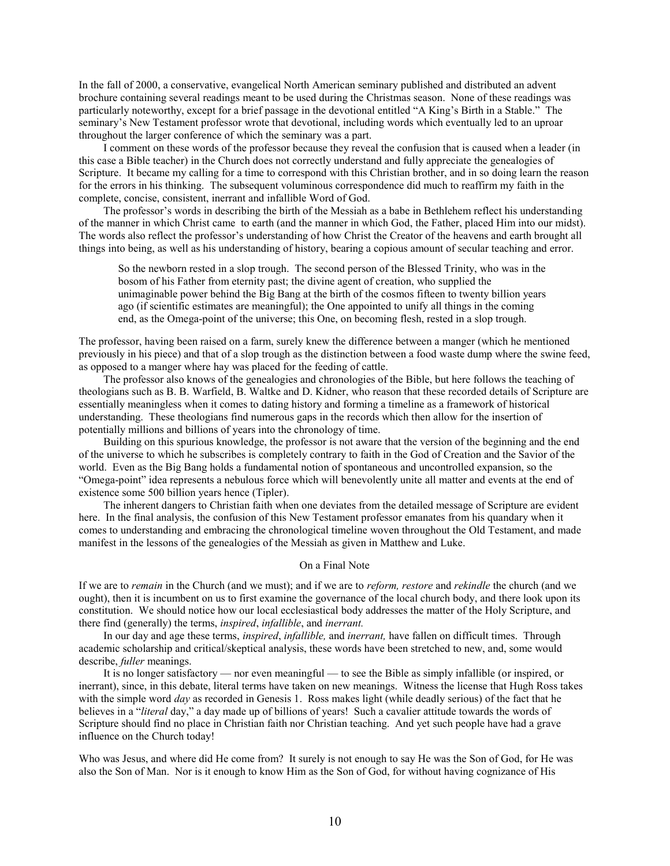In the fall of 2000, a conservative, evangelical North American seminary published and distributed an advent brochure containing several readings meant to be used during the Christmas season. None of these readings was particularly noteworthy, except for a brief passage in the devotional entitled "A King's Birth in a Stable." The seminary's New Testament professor wrote that devotional, including words which eventually led to an uproar throughout the larger conference of which the seminary was a part.

I comment on these words of the professor because they reveal the confusion that is caused when a leader (in this case a Bible teacher) in the Church does not correctly understand and fully appreciate the genealogies of Scripture. It became my calling for a time to correspond with this Christian brother, and in so doing learn the reason for the errors in his thinking. The subsequent voluminous correspondence did much to reaffirm my faith in the complete, concise, consistent, inerrant and infallible Word of God.

The professor's words in describing the birth of the Messiah as a babe in Bethlehem reflect his understanding of the manner in which Christ came to earth (and the manner in which God, the Father, placed Him into our midst). The words also reflect the professor's understanding of how Christ the Creator of the heavens and earth brought all things into being, as well as his understanding of history, bearing a copious amount of secular teaching and error.

So the newborn rested in a slop trough. The second person of the Blessed Trinity, who was in the bosom of his Father from eternity past; the divine agent of creation, who supplied the unimaginable power behind the Big Bang at the birth of the cosmos fifteen to twenty billion years ago (if scientific estimates are meaningful); the One appointed to unify all things in the coming end, as the Omega-point of the universe; this One, on becoming flesh, rested in a slop trough.

The professor, having been raised on a farm, surely knew the difference between a manger (which he mentioned previously in his piece) and that of a slop trough as the distinction between a food waste dump where the swine feed, as opposed to a manger where hay was placed for the feeding of cattle.

The professor also knows of the genealogies and chronologies of the Bible, but here follows the teaching of theologians such as B. B. Warfield, B. Waltke and D. Kidner, who reason that these recorded details of Scripture are essentially meaningless when it comes to dating history and forming a timeline as a framework of historical understanding. These theologians find numerous gaps in the records which then allow for the insertion of potentially millions and billions of years into the chronology of time.

Building on this spurious knowledge, the professor is not aware that the version of the beginning and the end of the universe to which he subscribes is completely contrary to faith in the God of Creation and the Savior of the world. Even as the Big Bang holds a fundamental notion of spontaneous and uncontrolled expansion, so the "Omega-point" idea represents a nebulous force which will benevolently unite all matter and events at the end of existence some 500 billion years hence (Tipler).

The inherent dangers to Christian faith when one deviates from the detailed message of Scripture are evident here. In the final analysis, the confusion of this New Testament professor emanates from his quandary when it comes to understanding and embracing the chronological timeline woven throughout the Old Testament, and made manifest in the lessons of the genealogies of the Messiah as given in Matthew and Luke.

# On a Final Note

If we are to *remain* in the Church (and we must); and if we are to *reform, restore* and *rekindle* the church (and we ought), then it is incumbent on us to first examine the governance of the local church body, and there look upon its constitution. We should notice how our local ecclesiastical body addresses the matter of the Holy Scripture, and there find (generally) the terms, *inspired*, *infallible*, and *inerrant.*

In our day and age these terms, *inspired*, *infallible,* and *inerrant,* have fallen on difficult times. Through academic scholarship and critical/skeptical analysis, these words have been stretched to new, and, some would describe, *fuller* meanings.

It is no longer satisfactory — nor even meaningful — to see the Bible as simply infallible (or inspired, or inerrant), since, in this debate, literal terms have taken on new meanings. Witness the license that Hugh Ross takes with the simple word *day* as recorded in Genesis 1. Ross makes light (while deadly serious) of the fact that he believes in a "*literal* day," a day made up of billions of years! Such a cavalier attitude towards the words of Scripture should find no place in Christian faith nor Christian teaching. And yet such people have had a grave influence on the Church today!

Who was Jesus, and where did He come from? It surely is not enough to say He was the Son of God, for He was also the Son of Man. Nor is it enough to know Him as the Son of God, for without having cognizance of His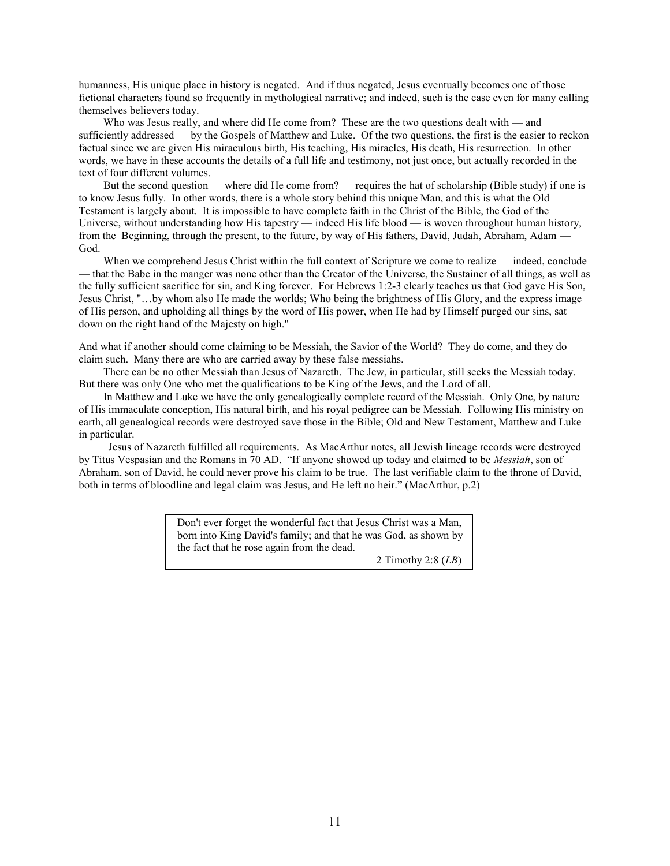humanness, His unique place in history is negated. And if thus negated, Jesus eventually becomes one of those fictional characters found so frequently in mythological narrative; and indeed, such is the case even for many calling themselves believers today.

Who was Jesus really, and where did He come from? These are the two questions dealt with — and sufficiently addressed — by the Gospels of Matthew and Luke. Of the two questions, the first is the easier to reckon factual since we are given His miraculous birth, His teaching, His miracles, His death, His resurrection. In other words, we have in these accounts the details of a full life and testimony, not just once, but actually recorded in the text of four different volumes.

But the second question — where did He come from? — requires the hat of scholarship (Bible study) if one is to know Jesus fully. In other words, there is a whole story behind this unique Man, and this is what the Old Testament is largely about. It is impossible to have complete faith in the Christ of the Bible, the God of the Universe, without understanding how His tapestry — indeed His life blood — is woven throughout human history, from the Beginning, through the present, to the future, by way of His fathers, David, Judah, Abraham, Adam — God.

When we comprehend Jesus Christ within the full context of Scripture we come to realize — indeed, conclude — that the Babe in the manger was none other than the Creator of the Universe, the Sustainer of all things, as well as the fully sufficient sacrifice for sin, and King forever. For Hebrews 1:2-3 clearly teaches us that God gave His Son, Jesus Christ, "…by whom also He made the worlds; Who being the brightness of His Glory, and the express image of His person, and upholding all things by the word of His power, when He had by Himself purged our sins, sat down on the right hand of the Majesty on high."

And what if another should come claiming to be Messiah, the Savior of the World? They do come, and they do claim such. Many there are who are carried away by these false messiahs.

There can be no other Messiah than Jesus of Nazareth. The Jew, in particular, still seeks the Messiah today. But there was only One who met the qualifications to be King of the Jews, and the Lord of all.

In Matthew and Luke we have the only genealogically complete record of the Messiah. Only One, by nature of His immaculate conception, His natural birth, and his royal pedigree can be Messiah. Following His ministry on earth, all genealogical records were destroyed save those in the Bible; Old and New Testament, Matthew and Luke in particular.

Jesus of Nazareth fulfilled all requirements. As MacArthur notes, all Jewish lineage records were destroyed by Titus Vespasian and the Romans in 70 AD. "If anyone showed up today and claimed to be *Messiah*, son of Abraham, son of David, he could never prove his claim to be true. The last verifiable claim to the throne of David, both in terms of bloodline and legal claim was Jesus, and He left no heir." (MacArthur, p.2)

> Don't ever forget the wonderful fact that Jesus Christ was a Man, born into King David's family; and that he was God, as shown by the fact that he rose again from the dead.

> > 2 Timothy 2:8 (*LB*)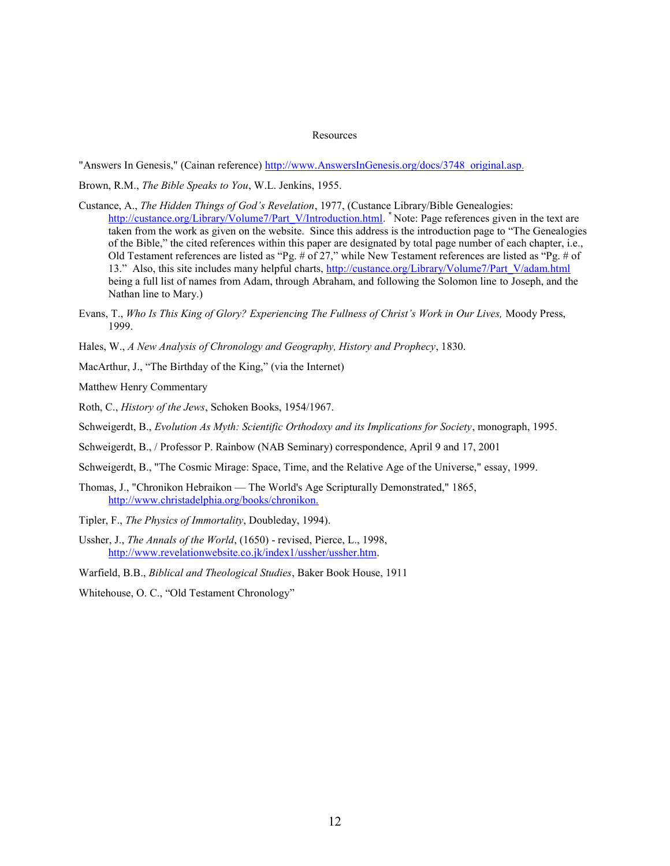#### Resources

"Answers In Genesis," (Cainan reference) [http://www.AnswersInGenesis.org/docs/3748\\_original.asp](http://www.answersingenesis.org/docs/3748_original.asp).

Brown, R.M., *The Bible Speaks to You*, W.L. Jenkins, 1955.

- Custance, A., *The Hidden Things of God's Revelation*, 1977, (Custance Library/Bible Genealogies: [http://custance.org/Library/Volume7/Part\\_V/Introduction.html.](http://www.backflip.com/perl/go.pl?url=13087716) <sup>\*</sup> Note: Page references given in the text are taken from the work as given on the website. Since this address is the introduction page to "The Genealogies" of the Bible," the cited references within this paper are designated by total page number of each chapter, i.e., Old Testament references are listed as "Pg. # of 27," while New Testament references are listed as "Pg. # of 13.‖ Also, this site includes many helpful charts, [http://custance.org/Library/Volume7/Part\\_V/adam.html](http://custance.org/Library/Volume7/Part_V/adam.html) being a full list of names from Adam, through Abraham, and following the Solomon line to Joseph, and the Nathan line to Mary.)
- Evans, T., *Who Is This King of Glory? Experiencing The Fullness of Christ's Work in Our Lives,* Moody Press, 1999.
- Hales, W., *A New Analysis of Chronology and Geography, History and Prophecy*, 1830.
- MacArthur, J., "The Birthday of the King," (via the Internet)

Matthew Henry Commentary

- Roth, C., *History of the Jews*, Schoken Books, 1954/1967.
- Schweigerdt, B., *Evolution As Myth: Scientific Orthodoxy and its Implications for Society*, monograph, 1995.
- Schweigerdt, B., / Professor P. Rainbow (NAB Seminary) correspondence, April 9 and 17, 2001
- Schweigerdt, B., "The Cosmic Mirage: Space, Time, and the Relative Age of the Universe," essay, 1999.
- Thomas, J., "Chronikon Hebraikon The World's Age Scripturally Demonstrated," 1865, http://www.christadelphia.org/books/chronikon.
- Tipler, F., *The Physics of Immortality*, Doubleday, 1994).
- Ussher, J., *The Annals of the World*, (1650) revised, Pierce, L., 1998, http://www.revelationwebsite.co.jk/index1/ussher/ussher.htm.
- Warfield, B.B., *Biblical and Theological Studies*, Baker Book House, 1911
- Whitehouse, O. C., "Old Testament Chronology"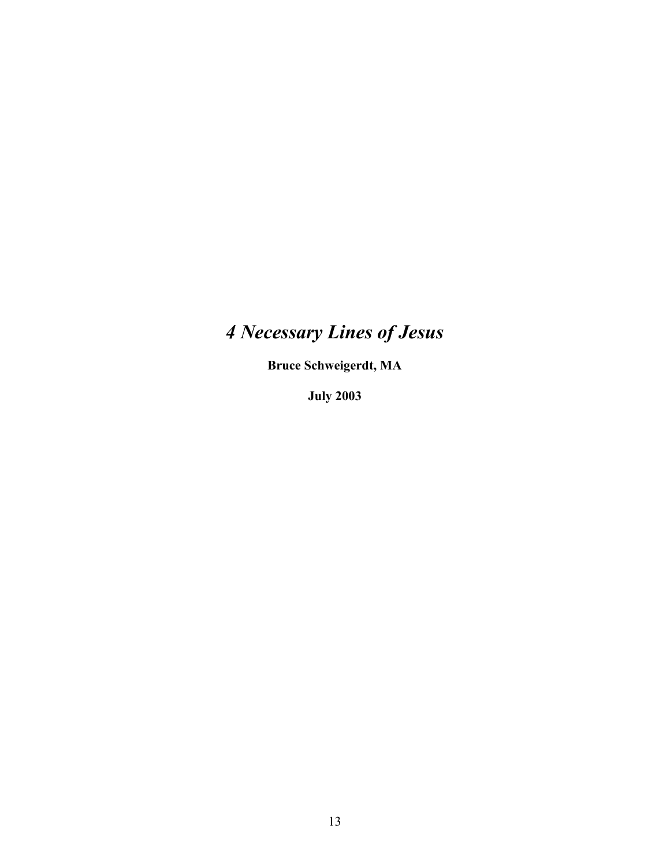# *4 Necessary Lines of Jesus*

**Bruce Schweigerdt, MA**

**July 2003**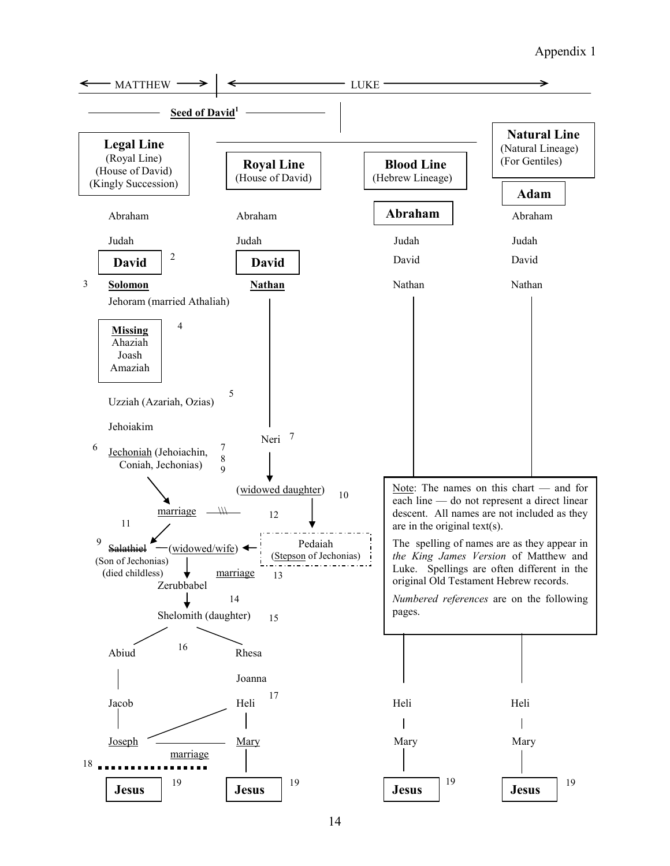# Appendix 1

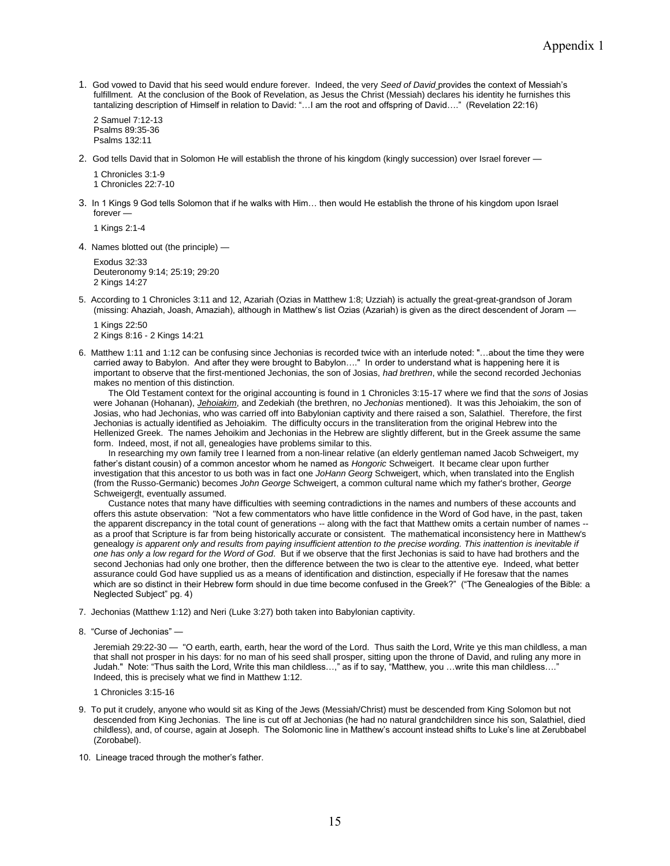1. God vowed to David that his seed would endure forever. Indeed, the very *Seed of David* provides the context of Messiah's fulfillment. At the conclusion of the Book of Revelation, as Jesus the Christ (Messiah) declares his identity he furnishes this tantalizing description of Himself in relation to David: "…I am the root and offspring of David…." (Revelation 22:16)

2 Samuel 7:12-13 Psalms 89:35-36 Psalms 132:11

2. God tells David that in Solomon He will establish the throne of his kingdom (kingly succession) over Israel forever —

1 Chronicles 3:1-9 1 Chronicles 22:7-10

3. In 1 Kings 9 God tells Solomon that if he walks with Him… then would He establish the throne of his kingdom upon Israel forever —

1 Kings 2:1-4

4. Names blotted out (the principle) —

Exodus 32:33 Deuteronomy 9:14; 25:19; 29:20 2 Kings 14:27

5. According to 1 Chronicles 3:11 and 12, Azariah (Ozias in Matthew 1:8; Uzziah) is actually the great-great-grandson of Joram (missing: Ahaziah, Joash, Amaziah), although in Matthew's list Ozias (Azariah) is given as the direct descendent of Joram —

1 Kings 22:50 2 Kings 8:16 - 2 Kings 14:21

6. Matthew 1:11 and 1:12 can be confusing since Jechonias is recorded twice with an interlude noted: "…about the time they were carried away to Babylon. And after they were brought to Babylon…." In order to understand what is happening here it is important to observe that the first-mentioned Jechonias, the son of Josias, *had brethren*, while the second recorded Jechonias makes no mention of this distinction.

The Old Testament context for the original accounting is found in 1 Chronicles 3:15-17 where we find that the *sons* of Josias were Johanan (Hohanan), *Jehoiakim*, and Zedekiah (the brethren, no *Jechonias* mentioned). It was this Jehoiakim, the son of Josias, who had Jechonias, who was carried off into Babylonian captivity and there raised a son, Salathiel. Therefore, the first Jechonias is actually identified as Jehoiakim. The difficulty occurs in the transliteration from the original Hebrew into the Hellenized Greek. The names Jehoikim and Jechonias in the Hebrew are slightly different, but in the Greek assume the same form. Indeed, most, if not all, genealogies have problems similar to this.

In researching my own family tree I learned from a non-linear relative (an elderly gentleman named Jacob Schweigert, my father's distant cousin) of a common ancestor whom he named as *Hongoric* Schweigert. It became clear upon further investigation that this ancestor to us both was in fact one *JoHann Georg* Schweigert, which, when translated into the English (from the Russo-Germanic) becomes *John George* Schweigert, a common cultural name which my father's brother, *George* Schweigerdt, eventually assumed.

Custance notes that many have difficulties with seeming contradictions in the names and numbers of these accounts and offers this astute observation: "Not a few commentators who have little confidence in the Word of God have, in the past, taken the apparent discrepancy in the total count of generations -- along with the fact that Matthew omits a certain number of names - as a proof that Scripture is far from being historically accurate or consistent. The mathematical inconsistency here in Matthew's genealogy *is apparent only and results from paying insufficient attention to the precise wording. This inattention is inevitable if one has only a low regard for the Word of God*. But if we observe that the first Jechonias is said to have had brothers and the second Jechonias had only one brother, then the difference between the two is clear to the attentive eye. Indeed, what better assurance could God have supplied us as a means of identification and distinction, especially if He foresaw that the names which are so distinct in their Hebrew form should in due time become confused in the Greek?" ("The Genealogies of the Bible: a Neglected Subject" pg. 4)

- 7. Jechonias (Matthew 1:12) and Neri (Luke 3:27) both taken into Babylonian captivity.
- 8. "Curse of Jechonias" —

Jeremiah 29:22-30 — "O earth, earth, earth, hear the word of the Lord. Thus saith the Lord, Write ye this man childless, a man that shall not prosper in his days: for no man of his seed shall prosper, sitting upon the throne of David, and ruling any more in Judah." Note: "Thus saith the Lord, Write this man childless…," as if to say, "Matthew, you …write this man childless…." Indeed, this is precisely what we find in Matthew 1:12.

1 Chronicles 3:15-16

- 9. To put it crudely, anyone who would sit as King of the Jews (Messiah/Christ) must be descended from King Solomon but not descended from King Jechonias. The line is cut off at Jechonias (he had no natural grandchildren since his son, Salathiel, died childless), and, of course, again at Joseph. The Solomonic line in Matthew's account instead shifts to Luke's line at Zerubbabel (Zorobabel).
- 10. Lineage traced through the mother's father.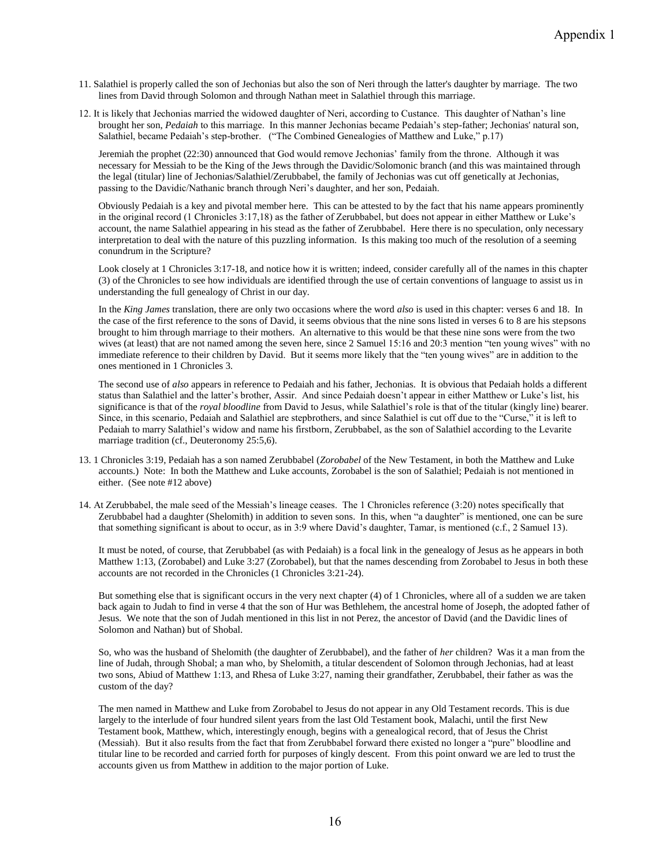- 11. Salathiel is properly called the son of Jechonias but also the son of Neri through the latter's daughter by marriage. The two lines from David through Solomon and through Nathan meet in Salathiel through this marriage.
- 12. It is likely that Jechonias married the widowed daughter of Neri, according to Custance. This daughter of Nathan's line brought her son, *Pedaiah* to this marriage. In this manner Jechonias became Pedaiah's step-father; Jechonias' natural son, Salathiel, became Pedaiah's step-brother. ("The Combined Genealogies of Matthew and Luke," p.17)

Jeremiah the prophet (22:30) announced that God would remove Jechonias' family from the throne. Although it was necessary for Messiah to be the King of the Jews through the Davidic/Solomonic branch (and this was maintained through the legal (titular) line of Jechonias/Salathiel/Zerubbabel, the family of Jechonias was cut off genetically at Jechonias, passing to the Davidic/Nathanic branch through Neri's daughter, and her son, Pedaiah.

Obviously Pedaiah is a key and pivotal member here. This can be attested to by the fact that his name appears prominently in the original record (1 Chronicles 3:17,18) as the father of Zerubbabel, but does not appear in either Matthew or Luke's account, the name Salathiel appearing in his stead as the father of Zerubbabel. Here there is no speculation, only necessary interpretation to deal with the nature of this puzzling information. Is this making too much of the resolution of a seeming conundrum in the Scripture?

Look closely at 1 Chronicles 3:17-18, and notice how it is written; indeed, consider carefully all of the names in this chapter (3) of the Chronicles to see how individuals are identified through the use of certain conventions of language to assist us in understanding the full genealogy of Christ in our day.

In the *King James* translation, there are only two occasions where the word *also* is used in this chapter: verses 6 and 18. In the case of the first reference to the sons of David, it seems obvious that the nine sons listed in verses 6 to 8 are his stepsons brought to him through marriage to their mothers. An alternative to this would be that these nine sons were from the two wives (at least) that are not named among the seven here, since 2 Samuel 15:16 and 20:3 mention "ten young wives" with no immediate reference to their children by David. But it seems more likely that the "ten young wives" are in addition to the ones mentioned in 1 Chronicles 3.

The second use of *also* appears in reference to Pedaiah and his father, Jechonias. It is obvious that Pedaiah holds a different status than Salathiel and the latter's brother, Assir. And since Pedaiah doesn't appear in either Matthew or Luke's list, his significance is that of the *royal bloodline* from David to Jesus, while Salathiel's role is that of the titular (kingly line) bearer. Since, in this scenario, Pedaiah and Salathiel are stepbrothers, and since Salathiel is cut off due to the "Curse," it is left to Pedaiah to marry Salathiel's widow and name his firstborn, Zerubbabel, as the son of Salathiel according to the Levarite marriage tradition (cf., Deuteronomy 25:5,6).

- 13. 1 Chronicles 3:19, Pedaiah has a son named Zerubbabel (*Zorobabel* of the New Testament, in both the Matthew and Luke accounts.) Note: In both the Matthew and Luke accounts, Zorobabel is the son of Salathiel; Pedaiah is not mentioned in either. (See note #12 above)
- 14. At Zerubbabel, the male seed of the Messiah's lineage ceases. The 1 Chronicles reference (3:20) notes specifically that Zerubbabel had a daughter (Shelomith) in addition to seven sons. In this, when "a daughter" is mentioned, one can be sure that something significant is about to occur, as in 3:9 where David's daughter, Tamar, is mentioned (c.f., 2 Samuel 13).

It must be noted, of course, that Zerubbabel (as with Pedaiah) is a focal link in the genealogy of Jesus as he appears in both Matthew 1:13, (Zorobabel) and Luke 3:27 (Zorobabel), but that the names descending from Zorobabel to Jesus in both these accounts are not recorded in the Chronicles (1 Chronicles 3:21-24).

But something else that is significant occurs in the very next chapter (4) of 1 Chronicles, where all of a sudden we are taken back again to Judah to find in verse 4 that the son of Hur was Bethlehem, the ancestral home of Joseph, the adopted father of Jesus. We note that the son of Judah mentioned in this list in not Perez, the ancestor of David (and the Davidic lines of Solomon and Nathan) but of Shobal.

So, who was the husband of Shelomith (the daughter of Zerubbabel), and the father of *her* children? Was it a man from the line of Judah, through Shobal; a man who, by Shelomith, a titular descendent of Solomon through Jechonias, had at least two sons, Abiud of Matthew 1:13, and Rhesa of Luke 3:27, naming their grandfather, Zerubbabel, their father as was the custom of the day?

The men named in Matthew and Luke from Zorobabel to Jesus do not appear in any Old Testament records. This is due largely to the interlude of four hundred silent years from the last Old Testament book, Malachi, until the first New Testament book, Matthew, which, interestingly enough, begins with a genealogical record, that of Jesus the Christ (Messiah). But it also results from the fact that from Zerubbabel forward there existed no longer a "pure" bloodline and titular line to be recorded and carried forth for purposes of kingly descent. From this point onward we are led to trust the accounts given us from Matthew in addition to the major portion of Luke.